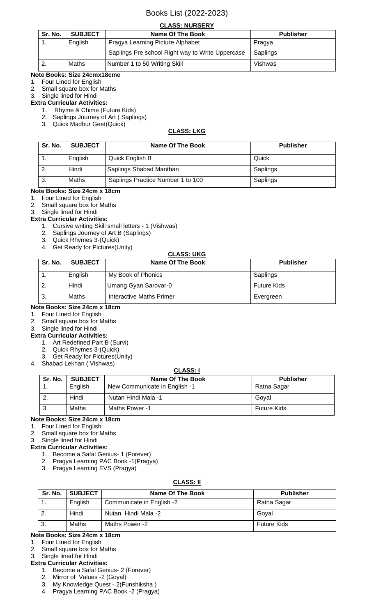## **CLASS: NURSERY**

| Sr. No. | <b>SUBJECT</b> | Name Of The Book                                 | <b>Publisher</b> |  |
|---------|----------------|--------------------------------------------------|------------------|--|
| . .     | English        | Pragya Learning Picture Alphabet                 | Pragya           |  |
|         |                | Saplings Pre school Right way to Write Uppercase | Saplings         |  |
|         | Maths          | Number 1 to 50 Writing Skill                     | Vishwas          |  |

#### **Note Books: Size 24cmx18cme** 1. Four Lined for English

2. Small square box for Maths

3. Single lined for Hindi

## **Extra Curricular Activities:**

- 1. Rhyme & Chime (Future Kids)
	- 2. Saplings Journey of Art ( Saplings)
	- 3. Quick Madhur Geet(Quick)

#### **CLASS: LKG**

| Sr. No. | <b>SUBJECT</b> | <b>Name Of The Book</b>           | <b>Publisher</b> |
|---------|----------------|-----------------------------------|------------------|
|         | English        | Quick English B                   | Quick            |
|         | Hindi          | Saplings Shabad Manthan           | Saplings         |
| -3.     | Maths          | Saplings Practice Number 1 to 100 | Saplings         |

#### **Note Books: Size 24cm x 18cm**

- 1. Four Lined for English
- 2. Small square box for Maths
- 3. Single lined for Hindi

#### **Extra Curricular Activities:**

- 1. Cursive writing Skill small letters 1 (Vishwas)
- 2. Saplings Journey of Art B (Saplings)
- 3. Quick Rhymes 3-(Quick)
- 4. Get Ready for Pictures(Unity)

## **CLASS: UKG**

| Sr. No. | <b>SUBJECT</b> | Name Of The Book         | <b>Publisher</b>   |
|---------|----------------|--------------------------|--------------------|
| . .     | English        | My Book of Phonics       | Saplings           |
| ۷.      | Hindi          | Umang Gyan Sarovar-0     | <b>Future Kids</b> |
| ు.      | Maths          | Interactive Maths Primer | Evergreen          |

## **Note Books: Size 24cm x 18cm**

- 1. Four Lined for English
- 2. Small square box for Maths

#### 3. Single lined for Hindi **Extra Curricular Activities:**

- 1. Art Redefined Part B (Survi)
- 2. Quick Rhymes 3-(Quick)
- 3. Get Ready for Pictures(Unity)
- 4. Shabad Lekhan ( Vishwas)

## **CLASS: I**

| Sr. No. | <b>SUBJECT</b> | Name Of The Book              | <b>Publisher</b>   |
|---------|----------------|-------------------------------|--------------------|
| . .     | English        | New Communicate in English -1 | Ratna Sagar        |
|         | Hindi          | Nutan Hindi Mala -1           | Goval              |
| J.      | Maths          | Maths Power -1                | <b>Future Kids</b> |

## **Note Books: Size 24cm x 18cm**

- 1. Four Lined for English
- 2. Small square box for Maths
- 3. Single lined for Hindi
- **Extra Curricular Activities:**
	- 1. Become a Safal Genius- 1 (Forever)
	- 2. Pragya Learning PAC Book -1(Pragya)
	- 3. Pragya Learning EVS (Pragya)

#### **CLASS: II**

| Sr. No. | <b>SUBJECT</b> | Name Of The Book          | <b>Publisher</b>   |
|---------|----------------|---------------------------|--------------------|
|         | English        | Communicate in English -2 | Ratna Sagar        |
|         | Hindi          | Nutan Hindi Mala -2       | Goyal              |
| - 3.    | Maths          | Maths Power -2            | <b>Future Kids</b> |

## **Note Books: Size 24cm x 18cm**

- 1. Four Lined for English
- 2. Small square box for Maths 3. Single lined for Hindi
- **Extra Curricular Activities:**
	- 1. Become a Safal Genius- 2 (Forever)
	- 2. Mirror of Values -2 (Goyal)
	- 3. My Knowledge Quest 2(Funshiksha )
	- 4. Pragya Learning PAC Book -2 (Pragya)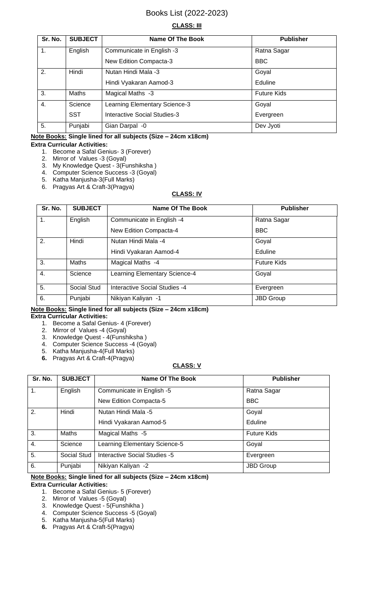## **CLASS: III**

| Sr. No.          | <b>SUBJECT</b> | <b>Name Of The Book</b>             | <b>Publisher</b>   |
|------------------|----------------|-------------------------------------|--------------------|
| 1.               | English        | Communicate in English -3           | Ratna Sagar        |
|                  |                | New Edition Compacta-3              | <b>BBC</b>         |
| 2.               | Hindi          | Nutan Hindi Mala -3                 | Goyal              |
|                  |                | Hindi Vyakaran Aamod-3              | Eduline            |
| 3.               | <b>Maths</b>   | Magical Maths -3                    | <b>Future Kids</b> |
| $\overline{4}$ . | Science        | Learning Elementary Science-3       | Goyal              |
|                  | <b>SST</b>     | <b>Interactive Social Studies-3</b> | Evergreen          |
| 5.               | Punjabi        | Gian Darpal -0                      | Dev Jyoti          |

## **Note Books: Single lined for all subjects (Size – 24cm x18cm)**

#### **Extra Curricular Activities:**

- 1. Become a Safal Genius- 3 (Forever)
- 2. Mirror of Values -3 (Goyal)
- 3. My Knowledge Quest 3(Funshiksha )
- 4. Computer Science Success -3 (Goyal)
- 5. Katha Manjusha-3(Full Marks) 6. Pragyas Art & Craft-3(Pragya)

### **CLASS: IV**

| Sr. No. | <b>SUBJECT</b> | <b>Name Of The Book</b>              | <b>Publisher</b>   |
|---------|----------------|--------------------------------------|--------------------|
| 1.      | English        | Communicate in English -4            | Ratna Sagar        |
|         |                | New Edition Compacta-4               | <b>BBC</b>         |
| 2.      | Hindi          | Nutan Hindi Mala -4                  | Goyal              |
|         |                | Hindi Vyakaran Aamod-4               | Eduline            |
| 3.      | Maths          | Magical Maths -4                     | <b>Future Kids</b> |
| 4.      | Science        | Learning Elementary Science-4        | Goyal              |
| 5.      | Social Stud    | <b>Interactive Social Studies -4</b> | Evergreen          |
| 6.      | Punjabi        | Nikiyan Kaliyan -1                   | <b>JBD Group</b>   |

## **Note Books: Single lined for all subjects (Size – 24cm x18cm)**

#### **Extra Curricular Activities:**

- 1. Become a Safal Genius- 4 (Forever)
- 2. Mirror of Values -4 (Goyal)
- 3. Knowledge Quest 4(Funshiksha )
- 4. Computer Science Success -4 (Goyal)
- 5. Katha Manjusha-4(Full Marks) **6.** Pragyas Art & Craft-4(Pragya)

## **CLASS: V**

| Sr. No.       | <b>SUBJECT</b> | <b>Name Of The Book</b>       | <b>Publisher</b>   |
|---------------|----------------|-------------------------------|--------------------|
| $\mathbf 1$ . | English        | Communicate in English -5     | Ratna Sagar        |
|               |                | New Edition Compacta-5        | <b>BBC</b>         |
| 2.            | Hindi          | Nutan Hindi Mala -5           | Goyal              |
|               |                | Hindi Vyakaran Aamod-5        | Eduline            |
| 3.            | Maths          | Magical Maths -5              | <b>Future Kids</b> |
| 4.            | Science        | Learning Elementary Science-5 | Goyal              |
| 5.            | Social Stud    | Interactive Social Studies -5 | Evergreen          |
| 6.            | Punjabi        | Nikiyan Kaliyan -2            | JBD Group          |

## **Note Books: Single lined for all subjects (Size – 24cm x18cm)**

#### **Extra Curricular Activities:**

- 1. Become a Safal Genius- 5 (Forever)
- 2. Mirror of Values -5 (Goyal)
- 3. Knowledge Quest 5(Funshikha )
- 4. Computer Science Success -5 (Goyal)
- 5. Katha Manjusha-5(Full Marks)
- **6.** Pragyas Art & Craft-5(Pragya)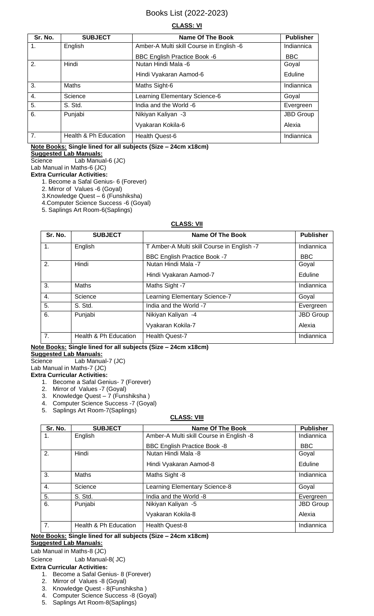#### **CLASS: VI**

| Sr. No.        | <b>SUBJECT</b>        | Name Of The Book                         | <b>Publisher</b> |
|----------------|-----------------------|------------------------------------------|------------------|
| 1.             | English               | Amber-A Multi skill Course in English -6 | Indiannica       |
|                |                       | <b>BBC English Practice Book -6</b>      | <b>BBC</b>       |
| 2.             | Hindi                 | Nutan Hindi Mala -6                      | Goyal            |
|                |                       | Hindi Vyakaran Aamod-6                   | Eduline          |
| 3.             | Maths                 | Maths Sight-6                            | Indiannica       |
| 4.             | Science               | Learning Elementary Science-6            | Goyal            |
| 5.             | S. Std.               | India and the World -6                   | Evergreen        |
| 6.             | Punjabi               | Nikiyan Kaliyan -3                       | JBD Group        |
|                |                       | Vyakaran Kokila-6                        | Alexia           |
| 7 <sub>1</sub> | Health & Ph Education | <b>Health Quest-6</b>                    | Indiannica       |

## **Note Books: Single lined for all subjects (Size – 24cm x18cm)**

**Suggested Lab Manuals:** Science Lab Manual-6 (JC)

Lab Manual in Maths-6 (JC)

## **Extra Curricular Activities:**

- 1. Become a Safal Genius- 6 (Forever)
- 2. Mirror of Values -6 (Goyal)
- 3.Knowledge Quest 6 (Funshiksha)
- 4.Computer Science Success -6 (Goyal)
- 5. Saplings Art Room-6(Saplings)

#### **CLASS: VII**

| Sr. No.          | <b>SUBJECT</b>        | Name Of The Book                           | <b>Publisher</b> |
|------------------|-----------------------|--------------------------------------------|------------------|
| 1.               | English               | T Amber-A Multi skill Course in English -7 | Indiannica       |
|                  |                       | <b>BBC English Practice Book -7</b>        | <b>BBC</b>       |
| 2.               | Hindi                 | Nutan Hindi Mala -7                        | Goyal            |
|                  |                       | Hindi Vyakaran Aamod-7                     | Eduline          |
| 3.               | Maths                 | Maths Sight -7                             | Indiannica       |
| 4.               | Science               | Learning Elementary Science-7              | Goyal            |
| 5.               | S. Std.               | India and the World -7                     | Evergreen        |
| 6.               | Punjabi               | Nikiyan Kaliyan -4                         | JBD Group        |
|                  |                       | Vyakaran Kokila-7                          | Alexia           |
| $\overline{7}$ . | Health & Ph Education | <b>Health Quest-7</b>                      | Indiannica       |

#### **Note Books: Single lined for all subjects (Size – 24cm x18cm)**

#### **Suggested Lab Manuals:**

Science Lab Manual-7 (JC)

Lab Manual in Maths-7 (JC)

## **Extra Curricular Activities:**

1. Become a Safal Genius- 7 (Forever)

- 2. Mirror of Values -7 (Goyal)
- 3. Knowledge Quest 7 (Funshiksha )
- 4. Computer Science Success -7 (Goyal)
- 5. Saplings Art Room-7(Saplings)

#### **CLASS: VIII**

| Sr. No. | <b>SUBJECT</b>        | <b>Name Of The Book</b>                  | <b>Publisher</b> |
|---------|-----------------------|------------------------------------------|------------------|
| 1.      | English               | Amber-A Multi skill Course in English -8 | Indiannica       |
|         |                       | <b>BBC English Practice Book -8</b>      | <b>BBC</b>       |
| 2.      | Hindi                 | Nutan Hindi Mala -8                      | Goyal            |
|         |                       | Hindi Vyakaran Aamod-8                   | Eduline          |
| 3.      | <b>Maths</b>          | Maths Sight -8                           | Indiannica       |
| 4.      | Science               | Learning Elementary Science-8            | Goyal            |
| 5.      | S. Std.               | India and the World -8                   | Evergreen        |
| 6.      | Punjabi               | Nikiyan Kaliyan -5                       | JBD Group        |
|         |                       | Vyakaran Kokila-8                        | Alexia           |
| 7.      | Health & Ph Education | <b>Health Quest-8</b>                    | Indiannica       |

# **Note Books: Single lined for all subjects (Size – 24cm x18cm)**

## **Suggested Lab Manuals:**

Lab Manual in Maths-8 (JC)

Science Lab Manual-8(JC) **Extra Curricular Activities:**

- 1. Become a Safal Genius- 8 (Forever)
- 2. Mirror of Values -8 (Goyal)
- 3. Knowledge Quest 8(Funshiksha )
- 4. Computer Science Success -8 (Goyal)
- 5. Saplings Art Room-8(Saplings)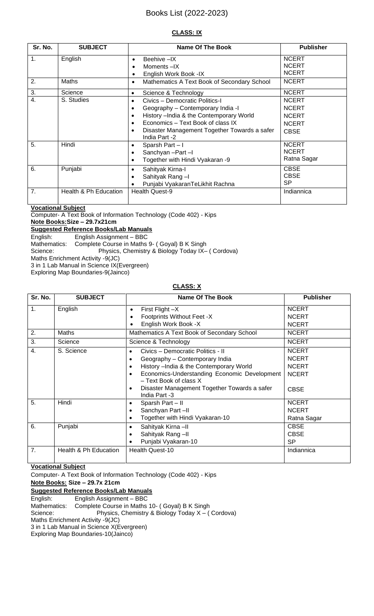#### **CLASS: IX**

| Sr. No.          | <b>SUBJECT</b>        | Name Of The Book                                                | <b>Publisher</b>                             |
|------------------|-----------------------|-----------------------------------------------------------------|----------------------------------------------|
| 1.               | English               | Beehive -IX<br>$\bullet$<br>Moments-IX<br>English Work Book -IX | <b>NCERT</b><br><b>NCERT</b><br><b>NCERT</b> |
| 2.               | <b>Maths</b>          | Mathematics A Text Book of Secondary School<br>$\bullet$        | <b>NCERT</b>                                 |
| 3.               | Science               | Science & Technology<br>$\bullet$                               | <b>NCERT</b>                                 |
| $\overline{4}$ . | S. Studies            | Civics - Democratic Politics-I<br>$\bullet$                     | <b>NCERT</b>                                 |
|                  |                       | Geography - Contemporary India -I                               | <b>NCERT</b>                                 |
|                  |                       | History - India & the Contemporary World<br>٠                   | <b>NCERT</b>                                 |
|                  |                       | Economics - Text Book of class IX                               | <b>NCERT</b>                                 |
|                  |                       | Disaster Management Together Towards a safer<br>India Part -2   | <b>CBSE</b>                                  |
| 5.               | Hindi                 | Sparsh Part-I<br>$\bullet$                                      | <b>NCERT</b>                                 |
|                  |                       | Sanchyan-Part-I                                                 | <b>NCERT</b>                                 |
|                  |                       | Together with Hindi Vyakaran -9                                 | Ratna Sagar                                  |
| 6.               | Punjabi               | Sahityak Kirna-I<br>$\bullet$                                   | <b>CBSE</b>                                  |
|                  |                       | Sahityak Rang-I                                                 | <b>CBSE</b>                                  |
|                  |                       | Punjabi VyakaranTeLikhit Rachna                                 | <b>SP</b>                                    |
| 7.               | Health & Ph Education | <b>Health Quest-9</b>                                           | Indiannica                                   |

**Vocational Subject**

Computer- A Text Book of Information Technology (Code 402) - Kips

# **Note Books:Size – 29.7x21cm**

**Suggested Reference Books/Lab Manuals**

English: English Assignment – BBC

Mathematics: Complete Course in Maths 9- ( Goyal) B K Singh

Science: Physics, Chemistry & Biology Today IX– ( Cordova)

Maths Enrichment Activity -9(JC)

3 in 1 Lab Manual in Science IX(Evergreen)

Exploring Map Boundaries-9(Jainco)

#### **CLASS: X**

| Sr. No.          | <b>SUBJECT</b>        | Name Of The Book                                                                                                                                                                                                                                                                                  | <b>Publisher</b>                                                            |
|------------------|-----------------------|---------------------------------------------------------------------------------------------------------------------------------------------------------------------------------------------------------------------------------------------------------------------------------------------------|-----------------------------------------------------------------------------|
| $\mathbf{1}$ .   | English               | First Flight $-X$<br>$\bullet$<br>Footprints Without Feet -X<br>English Work Book -X                                                                                                                                                                                                              | <b>NCERT</b><br><b>NCERT</b><br><b>NCERT</b>                                |
| 2.               | Maths                 | Mathematics A Text Book of Secondary School                                                                                                                                                                                                                                                       | <b>NCERT</b>                                                                |
| 3.               | Science               | Science & Technology                                                                                                                                                                                                                                                                              | <b>NCERT</b>                                                                |
| $\overline{4}$ . | S. Science            | Civics - Democratic Politics - II<br>Geography - Contemporary India<br>$\bullet$<br>History - India & the Contemporary World<br>$\bullet$<br>Economics-Understanding Economic Development<br>$\bullet$<br>- Text Book of class X<br>Disaster Management Together Towards a safer<br>India Part -3 | <b>NCERT</b><br><b>NCERT</b><br><b>NCERT</b><br><b>NCERT</b><br><b>CBSE</b> |
| 5.               | Hindi                 | Sparsh Part - II<br>$\bullet$<br>Sanchyan Part-II<br>Together with Hindi Vyakaran-10                                                                                                                                                                                                              | <b>NCERT</b><br><b>NCERT</b><br>Ratna Sagar                                 |
| 6.               | Punjabi               | Sahityak Kirna-II<br>$\bullet$<br>Sahityak Rang-II<br>$\bullet$<br>Punjabi Vyakaran-10                                                                                                                                                                                                            | <b>CBSE</b><br><b>CBSE</b><br><b>SP</b>                                     |
| 7.               | Health & Ph Education | <b>Health Quest-10</b>                                                                                                                                                                                                                                                                            | Indiannica                                                                  |

#### **Vocational Subject**

Computer- A Text Book of Information Technology (Code 402) - Kips

**Note Books: Size – 29.7x 21cm**

#### **Suggested Reference Books/Lab Manuals**

English: English Assignment – BBC<br>Mathematics: Complete Course in Maths Complete Course in Maths 10- ( Goyal) B K Singh Science: Physics, Chemistry & Biology Today X – (Cordova)

Maths Enrichment Activity -9(JC)

3 in 1 Lab Manual in Science X(Evergreen)

Exploring Map Boundaries-10(Jainco)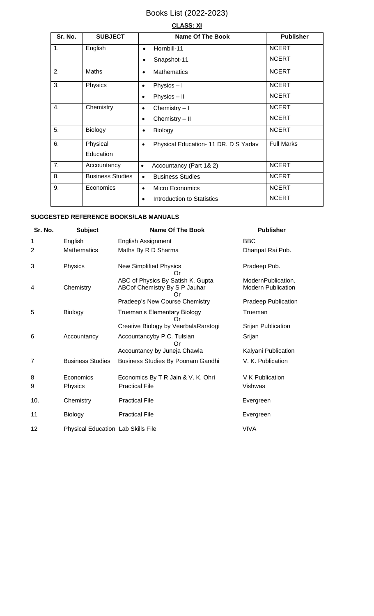## **CLASS: XI**

| Sr. No. | <b>SUBJECT</b>          | <b>Name Of The Book</b>                           | <b>Publisher</b>  |
|---------|-------------------------|---------------------------------------------------|-------------------|
| 1.      | English                 | Hornbill-11                                       | <b>NCERT</b>      |
|         |                         | Snapshot-11                                       | <b>NCERT</b>      |
| 2.      | Maths                   | <b>Mathematics</b><br>$\bullet$                   | <b>NCERT</b>      |
| 3.      | Physics                 | Physics $-1$<br>$\bullet$                         | <b>NCERT</b>      |
|         |                         | Physics - II<br>$\bullet$                         | <b>NCERT</b>      |
| 4.      | Chemistry               | Chemistry $-1$<br>$\bullet$                       | <b>NCERT</b>      |
|         |                         | Chemistry - II<br>$\bullet$                       | <b>NCERT</b>      |
| 5.      | Biology                 | Biology<br>$\bullet$                              | <b>NCERT</b>      |
| 6.      | Physical                | Physical Education- 11 DR. D S Yadav<br>$\bullet$ | <b>Full Marks</b> |
|         | Education               |                                                   |                   |
| 7.      | Accountancy             | Accountancy (Part 1& 2)<br>$\bullet$              | <b>NCERT</b>      |
| 8.      | <b>Business Studies</b> | <b>Business Studies</b><br>$\bullet$              | <b>NCERT</b>      |
| 9.      | Economics               | Micro Economics<br>$\bullet$                      | <b>NCERT</b>      |
|         |                         | <b>Introduction to Statistics</b>                 | <b>NCERT</b>      |

## **SUGGESTED REFERENCE BOOKS/LAB MANUALS**

| Sr. No.        | <b>Subject</b>                            | <b>Name Of The Book</b>                                            | <b>Publisher</b>                                |
|----------------|-------------------------------------------|--------------------------------------------------------------------|-------------------------------------------------|
| 1              | English                                   | <b>English Assignment</b>                                          | <b>BBC</b>                                      |
| $\overline{2}$ | <b>Mathematics</b>                        | Maths By R D Sharma                                                | Dhanpat Rai Pub.                                |
| 3              | Physics                                   | <b>New Simplified Physics</b><br>Or                                | Pradeep Pub.                                    |
| 4              | Chemistry                                 | ABC of Physics By Satish K. Gupta<br>ABCof Chemistry By S P Jauhar | ModernPublication.<br><b>Modern Publication</b> |
|                |                                           | Pradeep's New Course Chemistry                                     | <b>Pradeep Publication</b>                      |
| 5              | <b>Biology</b>                            | Trueman's Elementary Biology                                       | Trueman                                         |
|                |                                           | Creative Biology by VeerbalaRarstogi                               | Srijan Publication                              |
| 6              | Accountancy                               | Accountancyby P.C. Tulsian                                         | Srijan                                          |
|                |                                           | Accountancy by Juneja Chawla                                       | Kalyani Publication                             |
| 7              | <b>Business Studies</b>                   | Business Studies By Poonam Gandhi                                  | V. K. Publication                               |
| 8              | Economics                                 | Economics By T R Jain & V. K. Ohri                                 | V K Publication                                 |
| 9              | Physics                                   | <b>Practical File</b>                                              | Vishwas                                         |
| 10.            | Chemistry                                 | <b>Practical File</b>                                              | Evergreen                                       |
| 11             | Biology                                   | <b>Practical File</b>                                              | Evergreen                                       |
| 12             | <b>Physical Education Lab Skills File</b> |                                                                    | <b>VIVA</b>                                     |